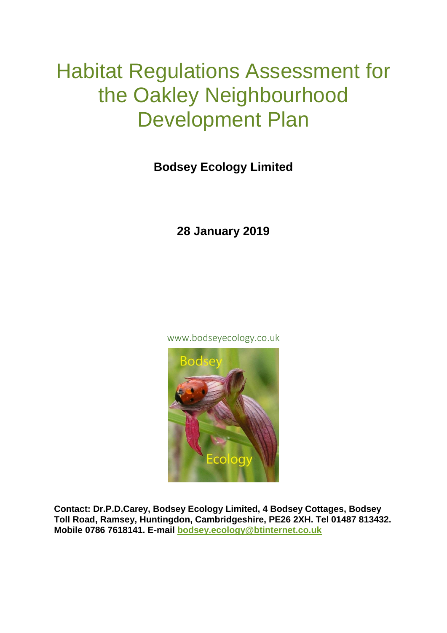# Habitat Regulations Assessment for the Oakley Neighbourhood Development Plan

## **Bodsey Ecology Limited**

### **28 January 2019**

www.bodseyecology.co.uk



**Contact: Dr.P.D.Carey, Bodsey Ecology Limited, 4 Bodsey Cottages, Bodsey Toll Road, Ramsey, Huntingdon, Cambridgeshire, PE26 2XH. Tel 01487 813432. Mobile 0786 7618141. E-mail [bodsey.ecology@btinternet.co.uk](mailto:bodsey.ecology@btinternet.co.uk)**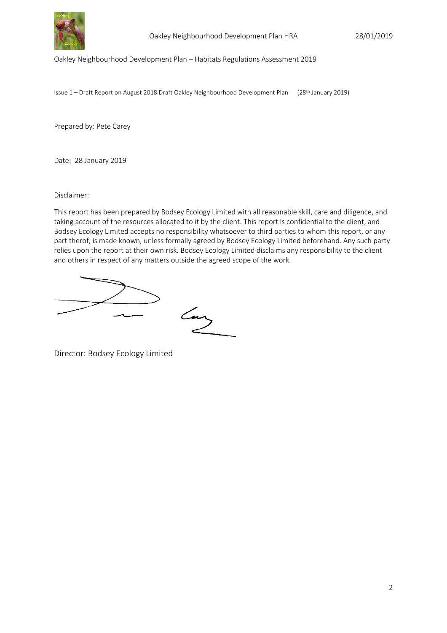

Oakley Neighbourhood Development Plan – Habitats Regulations Assessment 2019

Issue 1 – Draft Report on August 2018 Draft Oakley Neighbourhood Development Plan (28th January 2019)

Prepared by: Pete Carey

Date: 28 January 2019

Disclaimer:

This report has been prepared by Bodsey Ecology Limited with all reasonable skill, care and diligence, and taking account of the resources allocated to it by the client. This report is confidential to the client, and Bodsey Ecology Limited accepts no responsibility whatsoever to third parties to whom this report, or any part therof, is made known, unless formally agreed by Bodsey Ecology Limited beforehand. Any such party relies upon the report at their own risk. Bodsey Ecology Limited disclaims any responsibility to the client and others in respect of any matters outside the agreed scope of the work.

Lary

Director: Bodsey Ecology Limited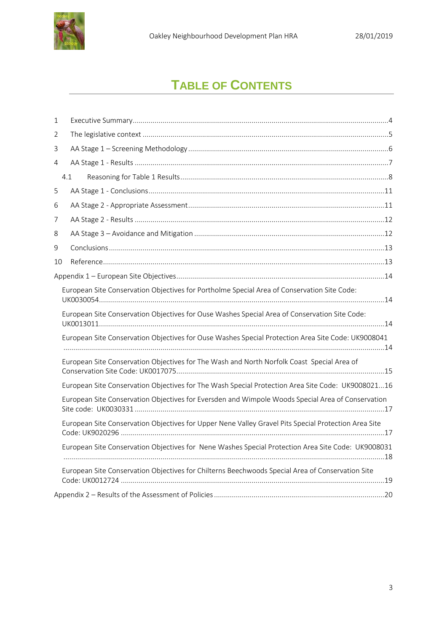

## **TABLE OF CONTENTS**

| 1  |                                                                                                      |
|----|------------------------------------------------------------------------------------------------------|
| 2  |                                                                                                      |
| 3  |                                                                                                      |
| 4  |                                                                                                      |
|    | 4.1                                                                                                  |
| 5  |                                                                                                      |
| 6  |                                                                                                      |
| 7  |                                                                                                      |
| 8  |                                                                                                      |
| 9  |                                                                                                      |
| 10 |                                                                                                      |
|    |                                                                                                      |
|    | European Site Conservation Objectives for Portholme Special Area of Conservation Site Code:          |
|    | European Site Conservation Objectives for Ouse Washes Special Area of Conservation Site Code:        |
|    | European Site Conservation Objectives for Ouse Washes Special Protection Area Site Code: UK9008041   |
|    | European Site Conservation Objectives for The Wash and North Norfolk Coast Special Area of           |
|    | European Site Conservation Objectives for The Wash Special Protection Area Site Code: UK900802116    |
|    | European Site Conservation Objectives for Eversden and Wimpole Woods Special Area of Conservation    |
|    | European Site Conservation Objectives for Upper Nene Valley Gravel Pits Special Protection Area Site |
|    | European Site Conservation Objectives for Nene Washes Special Protection Area Site Code: UK9008031   |
|    | European Site Conservation Objectives for Chilterns Beechwoods Special Area of Conservation Site     |
|    |                                                                                                      |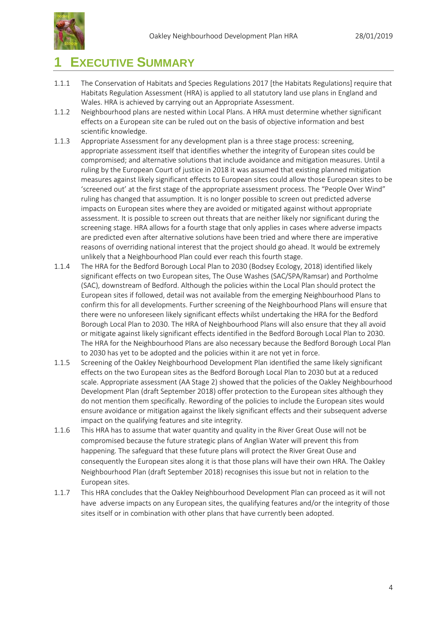

## <span id="page-3-0"></span>**1 EXECUTIVE SUMMARY**

- 1.1.1 The Conservation of Habitats and Species Regulations 2017 [the Habitats Regulations] require that Habitats Regulation Assessment (HRA) is applied to all statutory land use plans in England and Wales. HRA is achieved by carrying out an Appropriate Assessment.
- 1.1.2 Neighbourhood plans are nested within Local Plans. A HRA must determine whether significant effects on a European site can be ruled out on the basis of objective information and best scientific knowledge.
- 1.1.3 Appropriate Assessment for any development plan is a three stage process: screening, appropriate assessment itself that identifies whether the integrity of European sites could be compromised; and alternative solutions that include avoidance and mitigation measures. Until a ruling by the European Court of justice in 2018 it was assumed that existing planned mitigation measures against likely significant effects to European sites could allow those European sites to be 'screened out' at the first stage of the appropriate assessment process. The "People Over Wind" ruling has changed that assumption. It is no longer possible to screen out predicted adverse impacts on European sites where they are avoided or mitigated against without appropriate assessment. It is possible to screen out threats that are neither likely nor significant during the screening stage. HRA allows for a fourth stage that only applies in cases where adverse impacts are predicted even after alternative solutions have been tried and where there are imperative reasons of overriding national interest that the project should go ahead. It would be extremely unlikely that a Neighbourhood Plan could ever reach this fourth stage.
- 1.1.4 The HRA for the Bedford Borough Local Plan to 2030 (Bodsey Ecology, 2018) identified likely significant effects on two European sites, The Ouse Washes (SAC/SPA/Ramsar) and Portholme (SAC), downstream of Bedford. Although the policies within the Local Plan should protect the European sites if followed, detail was not available from the emerging Neighbourhood Plans to confirm this for all developments. Further screening of the Neighbourhood Plans will ensure that there were no unforeseen likely significant effects whilst undertaking the HRA for the Bedford Borough Local Plan to 2030. The HRA of Neighbourhood Plans will also ensure that they all avoid or mitigate against likely significant effects identified in the Bedford Borough Local Plan to 2030. The HRA for the Neighbourhood Plans are also necessary because the Bedford Borough Local Plan to 2030 has yet to be adopted and the policies within it are not yet in force.
- 1.1.5 Screening of the Oakley Neighbourhood Development Plan identified the same likely significant effects on the two European sites as the Bedford Borough Local Plan to 2030 but at a reduced scale. Appropriate assessment (AA Stage 2) showed that the policies of the Oakley Neighbourhood Development Plan (draft September 2018) offer protection to the European sites although they do not mention them specifically. Rewording of the policies to include the European sites would ensure avoidance or mitigation against the likely significant effects and their subsequent adverse impact on the qualifying features and site integrity.
- 1.1.6 This HRA has to assume that water quantity and quality in the River Great Ouse will not be compromised because the future strategic plans of Anglian Water will prevent this from happening. The safeguard that these future plans will protect the River Great Ouse and consequently the European sites along it is that those plans will have their own HRA. The Oakley Neighbourhood Plan (draft September 2018) recognises this issue but not in relation to the European sites.
- 1.1.7 This HRA concludes that the Oakley Neighbourhood Development Plan can proceed as it will not have adverse impacts on any European sites, the qualifying features and/or the integrity of those sites itself or in combination with other plans that have currently been adopted.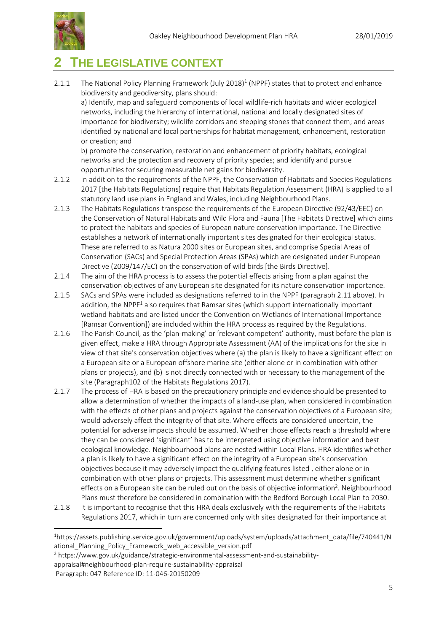

## <span id="page-4-0"></span>**2 THE LEGISLATIVE CONTEXT**

2.1.1 The National Policy Planning Framework (July 2018[\)](#page-4-1)<sup>1</sup> (NPPF) states that to protect and enhance biodiversity and geodiversity, plans should:

a) Identify, map and safeguard components of local wildlife-rich habitats and wider ecological networks, including the hierarchy of international, national and locally designated sites of importance for biodiversity; wildlife corridors and stepping stones that connect them; and areas identified by national and local partnerships for habitat management, enhancement, restoration or creation; and

b) promote the conservation, restoration and enhancement of priority habitats, ecological networks and the protection and recovery of priority species; and identify and pursue opportunities for securing measurable net gains for biodiversity.

- 2.1.2 In addition to the requirements of the NPPF, the Conservation of Habitats and Species Regulations 2017 [the Habitats Regulations] require that Habitats Regulation Assessment (HRA) is applied to all statutory land use plans in England and Wales, including Neighbourhood Plans.
- 2.1.3 The Habitats Regulations transpose the requirements of the European Directive (92/43/EEC) on the Conservation of Natural Habitats and Wild Flora and Fauna [The Habitats Directive] which aims to protect the habitats and species of European nature conservation importance. The Directive establishes a network of internationally important sites designated for their ecological status. These are referred to as Natura 2000 sites or European sites, and comprise Special Areas of Conservation (SACs) and Special Protection Areas (SPAs) which are designated under European Directive (2009/147/EC) on the conservation of wild birds [the Birds Directive].
- 2.1.4 The aim of the HRA process is to assess the potential effects arising from a plan against the conservation objectives of any European site designated for its nature conservation importance.
- <span id="page-4-1"></span>2.1.5 SACs and SPAs were included as designations referred to in the NPPF (paragraph 2.11 above). In addition, the NPPF<sup>1</sup> also requires that Ramsar sites (which support internationally important wetland habitats and are listed under the Convention on Wetlands of International Importance [Ramsar Convention]) are included within the HRA process as required by the Regulations.
- 2.1.6 The Parish Council, as the 'plan-making' or 'relevant competent' authority, must before the plan is given effect, make a HRA through Appropriate Assessment (AA) of the implications for the site in view of that site's conservation objectives where (a) the plan is likely to have a significant effect on a European site or a European offshore marine site (either alone or in combination with other plans or projects), and (b) is not directly connected with or necessary to the management of the site (Paragraph102 of the Habitats Regulations 2017).
- 2.1.7 The process of HRA is based on the precautionary principle and evidence should be presented to allow a determination of whether the impacts of a land‐use plan, when considered in combination with the effects of other plans and projects against the conservation objectives of a European site; would adversely affect the integrity of that site. Where effects are considered uncertain, the potential for adverse impacts should be assumed. Whether those effects reach a threshold where they can be considered 'significant' has to be interpreted using objective information and best ecological knowledge. Neighbourhood plans are nested within Local Plans. HRA identifies whether a plan is likely to have a significant effect on the integrity of a European site's conservation objectives because it may adversely impact the qualifying features listed , either alone or in combination with other plans or projects. This assessment must determine whether significant effects on a European site can be ruled out on the basis of objective information<sup>2</sup>. Neighbourhood Plans must therefore be considered in combination with the Bedford Borough Local Plan to 2030.
- 2.1.8 It is important to recognise that this HRA deals exclusively with the requirements of the Habitats Regulations 2017, which in turn are concerned only with sites designated for their importance at

-

<sup>1</sup>https://assets.publishing.service.gov.uk/government/uploads/system/uploads/attachment\_data/file/740441/N ational Planning Policy Framework web accessible version.pdf

<sup>2</sup> https://www.gov.uk/guidance/strategic-environmental-assessment-and-sustainability-

appraisal#neighbourhood-plan-require-sustainability-appraisal

Paragraph: 047 Reference ID: 11-046-20150209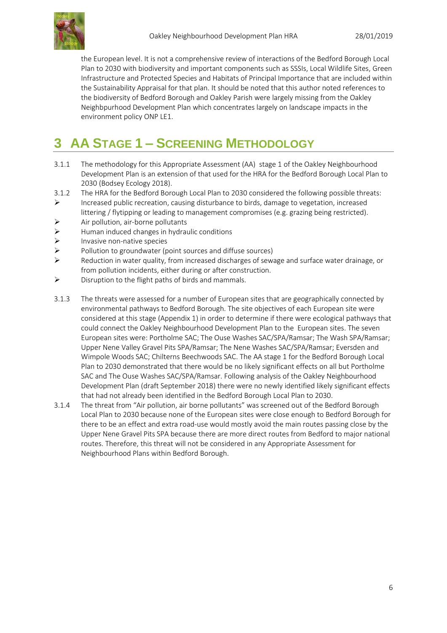

the European level. It is not a comprehensive review of interactions of the Bedford Borough Local Plan to 2030 with biodiversity and important components such as SSSIs, Local Wildlife Sites, Green Infrastructure and Protected Species and Habitats of Principal Importance that are included within the Sustainability Appraisal for that plan. It should be noted that this author noted references to the biodiversity of Bedford Borough and Oakley Parish were largely missing from the Oakley Neighbpurhood Development Plan which concentrates largely on landscape impacts in the environment policy ONP LE1.

## <span id="page-5-0"></span>**3 AA STAGE 1 – SCREENING METHODOLOGY**

- 3.1.1 The methodology for this Appropriate Assessment (AA) stage 1 of the Oakley Neighbourhood Development Plan is an extension of that used for the HRA for the Bedford Borough Local Plan to 2030 (Bodsey Ecology 2018).
- 3.1.2 The HRA for the Bedford Borough Local Plan to 2030 considered the following possible threats:
- $\triangleright$  Increased public recreation, causing disturbance to birds, damage to vegetation, increased littering / flytipping or leading to management compromises (e.g. grazing being restricted).
- $\triangleright$  Air pollution, air-borne pollutants
- $\triangleright$  Human induced changes in hydraulic conditions
- $\triangleright$  Invasive non-native species<br> $\triangleright$  Pollution to groundwater (p
- Pollution to groundwater (point sources and diffuse sources)
- $\triangleright$  Reduction in water quality, from increased discharges of sewage and surface water drainage, or from pollution incidents, either during or after construction.
- $\triangleright$  Disruption to the flight paths of birds and mammals.
- 3.1.3 The threats were assessed for a number of European sites that are geographically connected by environmental pathways to Bedford Borough. The site objectives of each European site were considered at this stage (Appendix 1) in order to determine if there were ecological pathways that could connect the Oakley Neighbourhood Development Plan to the European sites. The seven European sites were: Portholme SAC; The Ouse Washes SAC/SPA/Ramsar; The Wash SPA/Ramsar; Upper Nene Valley Gravel Pits SPA/Ramsar; The Nene Washes SAC/SPA/Ramsar; Eversden and Wimpole Woods SAC; Chilterns Beechwoods SAC. The AA stage 1 for the Bedford Borough Local Plan to 2030 demonstrated that there would be no likely significant effects on all but Portholme SAC and The Ouse Washes SAC/SPA/Ramsar. Following analysis of the Oakley Neighbourhood Development Plan (draft September 2018) there were no newly identified likely significant effects that had not already been identified in the Bedford Borough Local Plan to 2030.
- 3.1.4 The threat from "Air pollution, air borne pollutants" was screened out of the Bedford Borough Local Plan to 2030 because none of the European sites were close enough to Bedford Borough for there to be an effect and extra road-use would mostly avoid the main routes passing close by the Upper Nene Gravel Pits SPA because there are more direct routes from Bedford to major national routes. Therefore, this threat will not be considered in any Appropriate Assessment for Neighbourhood Plans within Bedford Borough.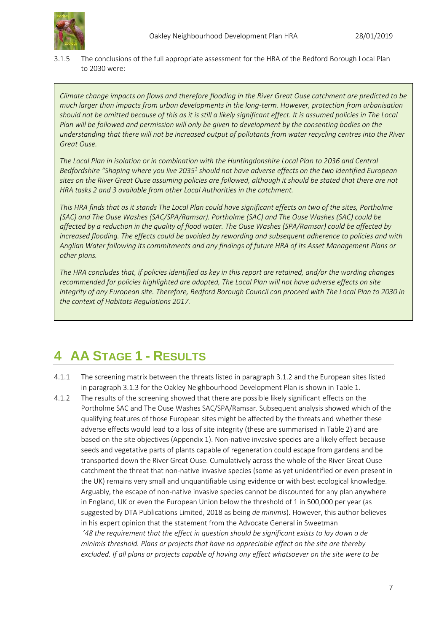

3.1.5 The conclusions of the full appropriate assessment for the HRA of the Bedford Borough Local Plan to 2030 were:

*Climate change impacts on flows and therefore flooding in the River Great Ouse catchment are predicted to be much larger than impacts from urban developments in the long-term. However, protection from urbanisation should not be omitted because of this as it is still a likely significant effect. It is assumed policies in The Local Plan will be followed and permission will only be given to development by the consenting bodies on the understanding that there will not be increased output of pollutants from water recycling centres into the River Great Ouse.*

*The Local Plan in isolation or in combination with the Huntingdonshire Local Plan to 2036 and Central Bedfordshire "Shaping where you live 2035<sup>1</sup> should not have adverse effects on the two identified European sites on the River Great Ouse assuming policies are followed, although it should be stated that there are not HRA tasks 2 and 3 available from other Local Authorities in the catchment.*

*This HRA finds that as it stands The Local Plan could have significant effects on two of the sites, Portholme (SAC) and The Ouse Washes (SAC/SPA/Ramsar). Portholme (SAC) and The Ouse Washes (SAC) could be affected by a reduction in the quality of flood water. The Ouse Washes (SPA/Ramsar) could be affected by increased flooding. The effects could be avoided by rewording and subsequent adherence to policies and with Anglian Water following its commitments and any findings of future HRA of its Asset Management Plans or other plans.*

*The HRA concludes that, if policies identified as key in this report are retained, and/or the wording changes recommended for policies highlighted are adopted, The Local Plan will not have adverse effects on site integrity of any European site. Therefore, Bedford Borough Council can proceed with The Local Plan to 2030 in the context of Habitats Regulations 2017.*

## <span id="page-6-0"></span>**4 AA STAGE 1 - RESULTS**

- 4.1.1 The screening matrix between the threats listed in paragraph 3.1.2 and the European sites listed in paragraph 3.1.3 for the Oakley Neighbourhood Development Plan is shown in Table 1.
- 4.1.2 The results of the screening showed that there are possible likely significant effects on the Portholme SAC and The Ouse Washes SAC/SPA/Ramsar. Subsequent analysis showed which of the qualifying features of those European sites might be affected by the threats and whether these adverse effects would lead to a loss of site integrity (these are summarised in Table 2) and are based on the site objectives (Appendix 1). Non-native invasive species are a likely effect because seeds and vegetative parts of plants capable of regeneration could escape from gardens and be transported down the River Great Ouse. Cumulatively across the whole of the River Great Ouse catchment the threat that non-native invasive species (some as yet unidentified or even present in the UK) remains very small and unquantifiable using evidence or with best ecological knowledge. Arguably, the escape of non-native invasive species cannot be discounted for any plan anywhere in England, UK or even the European Union below the threshold of 1 in 500,000 per year (as suggested by DTA Publications Limited, 2018 as being *de minimis*). However, this author believes in his expert opinion that the statement from the Advocate General in Sweetman *'48 the requirement that the effect in question should be significant exists to lay down a de minimis threshold. Plans or projects that have no appreciable effect on the site are thereby excluded. If all plans or projects capable of having any effect whatsoever on the site were to be*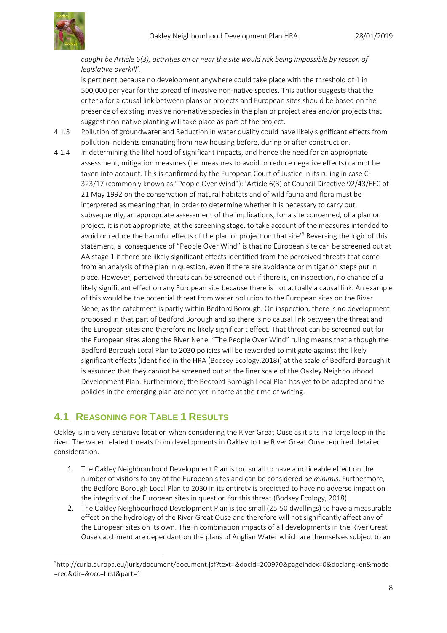

*caught be Article 6(3), activities on or near the site would risk being impossible by reason of legislative overkill'.*

is pertinent because no development anywhere could take place with the threshold of 1 in 500,000 per year for the spread of invasive non-native species. This author suggests that the criteria for a causal link between plans or projects and European sites should be based on the presence of existing invasive non-native species in the plan or project area and/or projects that suggest non-native planting will take place as part of the project.

- 4.1.3 Pollution of groundwater and Reduction in water quality could have likely significant effects from pollution incidents emanating from new housing before, during or after construction.
- 4.1.4 In determining the likelihood of significant impacts, and hence the need for an appropriate assessment, mitigation measures (i.e. measures to avoid or reduce negative effects) cannot be taken into account. This is confirmed by the European Court of Justice in its ruling in case C-323/17 (commonly known as "People Over Wind"): ʻArticle 6(3) of Council Directive 92/43/EEC of 21 May 1992 on the conservation of natural habitats and of wild fauna and flora must be interpreted as meaning that, in order to determine whether it is necessary to carry out, subsequently, an appropriate assessment of the implications, for a site concerned, of a plan or project, it is not appropriate, at the screening stage, to take account of the measures intended to avoid or reduce the harmful effects of the plan or project on that site'<sup>3</sup> Reversing the logic of this statement, a consequence of "People Over Wind" is that no European site can be screened out at AA stage 1 if there are likely significant effects identified from the perceived threats that come from an analysis of the plan in question, even if there are avoidance or mitigation steps put in place. However, perceived threats can be screened out if there is, on inspection, no chance of a likely significant effect on any European site because there is not actually a causal link. An example of this would be the potential threat from water pollution to the European sites on the River Nene, as the catchment is partly within Bedford Borough. On inspection, there is no development proposed in that part of Bedford Borough and so there is no causal link between the threat and the European sites and therefore no likely significant effect. That threat can be screened out for the European sites along the River Nene. "The People Over Wind" ruling means that although the Bedford Borough Local Plan to 2030 policies will be reworded to mitigate against the likely significant effects (identified in the HRA (Bodsey Ecology,2018)) at the scale of Bedford Borough it is assumed that they cannot be screened out at the finer scale of the Oakley Neighbourhood Development Plan. Furthermore, the Bedford Borough Local Plan has yet to be adopted and the policies in the emerging plan are not yet in force at the time of writing.

### <span id="page-7-0"></span>**4.1 REASONING FOR TABLE 1 RESULTS**

-

Oakley is in a very sensitive location when considering the River Great Ouse as it sits in a large loop in the river. The water related threats from developments in Oakley to the River Great Ouse required detailed consideration.

- 1. The Oakley Neighbourhood Development Plan is too small to have a noticeable effect on the number of visitors to any of the European sites and can be considered *de minimis*. Furthermore, the Bedford Borough Local Plan to 2030 in its entirety is predicted to have no adverse impact on the integrity of the European sites in question for this threat (Bodsey Ecology, 2018).
- 2. The Oakley Neighbourhood Development Plan is too small (25-50 dwellings) to have a measurable effect on the hydrology of the River Great Ouse and therefore will not significantly affect any of the European sites on its own. The in combination impacts of all developments in the River Great Ouse catchment are dependant on the plans of Anglian Water which are themselves subject to an

<sup>3</sup>http://curia.europa.eu/juris/document/document.jsf?text=&docid=200970&pageIndex=0&doclang=en&mode =req&dir=&occ=first&part=1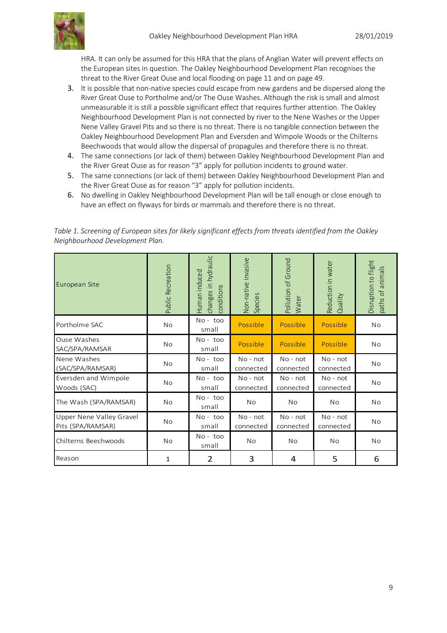

HRA. It can only be assumed for this HRA that the plans of Anglian Water will prevent effects on the European sites in question. The Oakley Neighbourhood Development Plan recognises the threat to the River Great Ouse and local flooding on page 11 and on page 49.

- 3. It is possible that non-native species could escape from new gardens and be dispersed along the River Great Ouse to Portholme and/or The Ouse Washes. Although the risk is small and almost unmeasurable it is still a possible significant effect that requires further attention. The Oakley Neighbourhood Development Plan is not connected by river to the Nene Washes or the Upper Nene Valley Gravel Pits and so there is no threat. There is no tangible connection between the Oakley Neighbourhood Development Plan and Eversden and Wimpole Woods or the Chilterns Beechwoods that would allow the dispersal of propagules and therefore there is no threat.
- 4. The same connections (or lack of them) between Oakley Neighbourhood Development Plan and the River Great Ouse as for reason "3" apply for pollution incidents to ground water.
- 5. The same connections (or lack of them) between Oakley Neighbourhood Development Plan and the River Great Ouse as for reason "3" apply for pollution incidents.
- 6. No dwelling in Oakley Neighbourhood Development Plan will be tall enough or close enough to have an effect on flyways for birds or mammals and therefore there is no threat.

| European Site                                 | Public Recreation | changes in hydraulic<br>Human induced<br>conditions | Non-native invasive<br>Species | Pollution of Ground<br>Water | Reduction in water<br>Quality | Disruption to flight<br>paths of animals |
|-----------------------------------------------|-------------------|-----------------------------------------------------|--------------------------------|------------------------------|-------------------------------|------------------------------------------|
| Portholme SAC                                 | No                | No-too<br>small                                     | Possible                       | Possible                     | Possible                      | <b>No</b>                                |
| Ouse Washes<br>SAC/SPA/RAMSAR                 | No                | $No - too$<br>small                                 | Possible                       | Possible                     | Possible                      | <b>No</b>                                |
| Nene Washes<br>(SAC/SPA/RAMSAR)               | <b>No</b>         | No-too<br>small                                     | $No - not$<br>connected        | No - not<br>connected        | No - not<br>connected         | No                                       |
| Eversden and Wimpole<br>Woods (SAC)           | No                | $No - too$<br>small                                 | $No - not$<br>connected        | $No - not$<br>connected      | No - not<br>connected         | <b>No</b>                                |
| The Wash (SPA/RAMSAR)                         | No                | $No - too$<br>small                                 | <b>No</b>                      | <b>No</b>                    | <b>No</b>                     | <b>No</b>                                |
| Upper Nene Valley Gravel<br>Pits (SPA/RAMSAR) | No                | No-too<br>small                                     | No - not<br>connected          | No - not<br>connected        | No - not<br>connected         | No                                       |
| Chilterns Beechwoods                          | <b>No</b>         | $No - too$<br>small                                 | <b>No</b>                      | <b>No</b>                    | No.                           | <b>No</b>                                |
| Reason                                        | 1                 | 2                                                   | 3                              | 4                            | 5                             | 6                                        |

| Table 1. Screening of European sites for likely significant effects from threats identified from the Oakley |  |
|-------------------------------------------------------------------------------------------------------------|--|
| Neighbourhood Development Plan.                                                                             |  |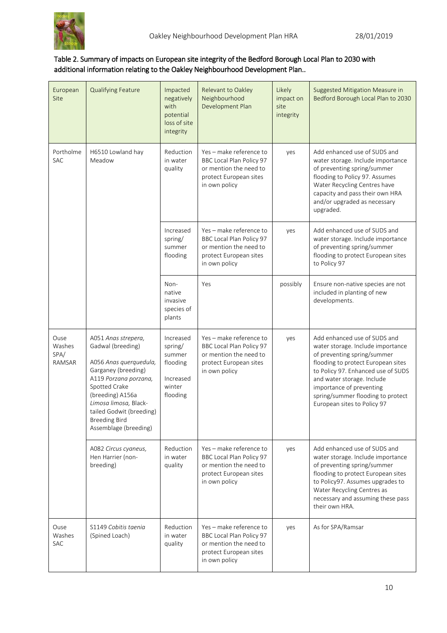

### Table 2. Summary of impacts on European site integrity of the Bedford Borough Local Plan to 2030 with additional information relating to the Oakley Neighbourhood Development Plan..

| European<br>Site                 | <b>Qualifying Feature</b>                                                                                                                                                                                                                                     | Impacted<br>negatively<br>with<br>potential<br>loss of site<br>integrity      | Relevant to Oakley<br>Neighbourhood<br>Development Plan                                                                  | Likely<br>impact on<br>site<br>integrity | Suggested Mitigation Measure in<br>Bedford Borough Local Plan to 2030                                                                                                                                                                                                                                      |
|----------------------------------|---------------------------------------------------------------------------------------------------------------------------------------------------------------------------------------------------------------------------------------------------------------|-------------------------------------------------------------------------------|--------------------------------------------------------------------------------------------------------------------------|------------------------------------------|------------------------------------------------------------------------------------------------------------------------------------------------------------------------------------------------------------------------------------------------------------------------------------------------------------|
| Portholme<br><b>SAC</b>          | H6510 Lowland hay<br>Meadow                                                                                                                                                                                                                                   | Reduction<br>in water<br>quality                                              | Yes - make reference to<br>BBC Local Plan Policy 97<br>or mention the need to<br>protect European sites<br>in own policy | yes                                      | Add enhanced use of SUDS and<br>water storage. Include importance<br>of preventing spring/summer<br>flooding to Policy 97. Assumes<br>Water Recycling Centres have<br>capacity and pass their own HRA<br>and/or upgraded as necessary<br>upgraded.                                                         |
|                                  |                                                                                                                                                                                                                                                               | Increased<br>spring/<br>summer<br>flooding                                    | Yes - make reference to<br>BBC Local Plan Policy 97<br>or mention the need to<br>protect European sites<br>in own policy | yes                                      | Add enhanced use of SUDS and<br>water storage. Include importance<br>of preventing spring/summer<br>flooding to protect European sites<br>to Policy 97                                                                                                                                                     |
|                                  |                                                                                                                                                                                                                                                               | Non-<br>native<br>invasive<br>species of<br>plants                            | Yes                                                                                                                      | possibly                                 | Ensure non-native species are not<br>included in planting of new<br>developments.                                                                                                                                                                                                                          |
| Ouse<br>Washes<br>SPA/<br>RAMSAR | A051 Anas strepera,<br>Gadwal (breeding)<br>A056 Anas querquedula,<br>Garganey (breeding)<br>A119 Porzana porzana,<br>Spotted Crake<br>(breeding) A156a<br>Limosa limosa, Black-<br>tailed Godwit (breeding)<br><b>Breeding Bird</b><br>Assemblage (breeding) | Increased<br>spring/<br>summer<br>flooding<br>Increased<br>winter<br>flooding | Yes - make reference to<br>BBC Local Plan Policy 97<br>or mention the need to<br>protect European sites<br>in own policy | yes                                      | Add enhanced use of SUDS and<br>water storage. Include importance<br>of preventing spring/summer<br>flooding to protect European sites<br>to Policy 97. Enhanced use of SUDS<br>and water storage. Include<br>importance of preventing<br>spring/summer flooding to protect<br>European sites to Policy 97 |
|                                  | A082 Circus cyaneus,<br>Hen Harrier (non-<br>breeding)                                                                                                                                                                                                        | Reduction<br>in water<br>quality                                              | Yes - make reference to<br>BBC Local Plan Policy 97<br>or mention the need to<br>protect European sites<br>in own policy | yes                                      | Add enhanced use of SUDS and<br>water storage. Include importance<br>of preventing spring/summer<br>flooding to protect European sites<br>to Policy97. Assumes upgrades to<br>Water Recycling Centres as<br>necessary and assuming these pass<br>their own HRA.                                            |
| Ouse<br>Washes<br>SAC            | S1149 Cobitis taenia<br>(Spined Loach)                                                                                                                                                                                                                        | Reduction<br>in water<br>quality                                              | Yes - make reference to<br>BBC Local Plan Policy 97<br>or mention the need to<br>protect European sites<br>in own policy | yes                                      | As for SPA/Ramsar                                                                                                                                                                                                                                                                                          |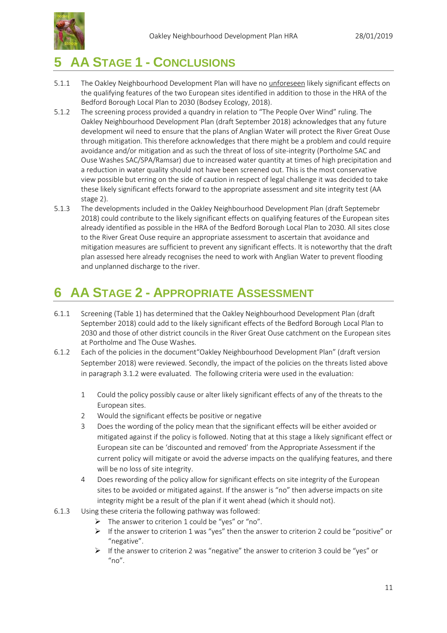



## <span id="page-10-0"></span>**5 AA STAGE 1 - CONCLUSIONS**

- 5.1.1 The Oakley Neighbourhood Development Plan will have no unforeseen likely significant effects on the qualifying features of the two European sites identified in addition to those in the HRA of the Bedford Borough Local Plan to 2030 (Bodsey Ecology, 2018).
- 5.1.2 The screening process provided a quandry in relation to "The People Over Wind" ruling. The Oakley Neighbourhood Development Plan (draft September 2018) acknowledges that any future development wil need to ensure that the plans of Anglian Water will protect the River Great Ouse through mitigation. This therefore acknowledges that there might be a problem and could require avoidance and/or mitigation and as such the threat of loss of site-integrity (Portholme SAC and Ouse Washes SAC/SPA/Ramsar) due to increased water quantity at times of high precipitation and a reduction in water quality should not have been screened out. This is the most conservative view possible but erring on the side of caution in respect of legal challenge it was decided to take these likely significant effects forward to the appropriate assessment and site integrity test (AA stage 2).
- 5.1.3 The developments included in the Oakley Neighbourhood Development Plan (draft Septemebr 2018) could contribute to the likely significant effects on qualifying features of the European sites already identified as possible in the HRA of the Bedford Borough Local Plan to 2030. All sites close to the River Great Ouse require an appropriate assessment to ascertain that avoidance and mitigation measures are sufficient to prevent any significant effects. It is noteworthy that the draft plan assessed here already recognises the need to work with Anglian Water to prevent flooding and unplanned discharge to the river.

## **6 AA STAGE 2 - APPROPRIATE ASSESSMENT**

- 6.1.1 Screening (Table 1) has determined that the Oakley Neighbourhood Development Plan (draft September 2018) could add to the likely significant effects of the Bedford Borough Local Plan to 2030 and those of other district councils in the River Great Ouse catchment on the European sites at Portholme and The Ouse Washes.
- 6.1.2 Each of the policies in the document"Oakley Neighbourhood Development Plan" (draft version September 2018) were reviewed. Secondly, the impact of the policies on the threats listed above in paragraph 3.1.2 were evaluated. The following criteria were used in the evaluation:
	- 1 Could the policy possibly cause or alter likely significant effects of any of the threats to the European sites.
	- 2 Would the significant effects be positive or negative
	- 3 Does the wording of the policy mean that the significant effects will be either avoided or mitigated against if the policy is followed. Noting that at this stage a likely significant effect or European site can be 'discounted and removed' from the Appropriate Assessment if the current policy will mitigate or avoid the adverse impacts on the qualifying features, and there will be no loss of site integrity.
	- 4 Does rewording of the policy allow for significant effects on site integrity of the European sites to be avoided or mitigated against. If the answer is "no" then adverse impacts on site integrity might be a result of the plan if it went ahead (which it should not).
- 6.1.3 Using these criteria the following pathway was followed:
	- $\triangleright$  The answer to criterion 1 could be "yes" or "no".
	- $\triangleright$  If the answer to criterion 1 was "yes" then the answer to criterion 2 could be "positive" or "negative".
	- $\triangleright$  If the answer to criterion 2 was "negative" the answer to criterion 3 could be "yes" or  $"no"$ .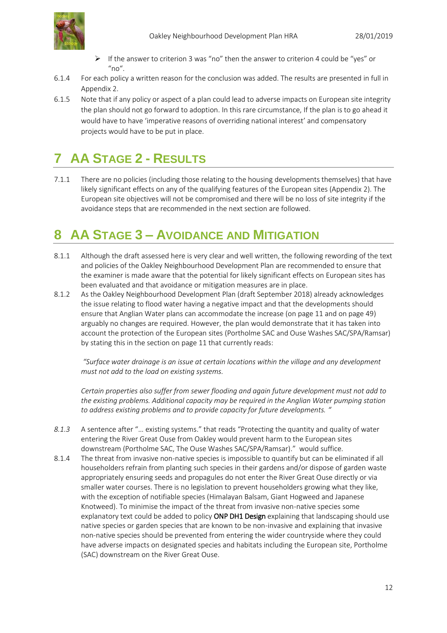

- $\triangleright$  If the answer to criterion 3 was "no" then the answer to criterion 4 could be "yes" or "no".
- 6.1.4 For each policy a written reason for the conclusion was added. The results are presented in full in Appendix 2.
- 6.1.5 Note that if any policy or aspect of a plan could lead to adverse impacts on European site integrity the plan should not go forward to adoption. In this rare circumstance, If the plan is to go ahead it would have to have 'imperative reasons of overriding national interest' and compensatory projects would have to be put in place.

## <span id="page-11-0"></span>**7 AA STAGE 2 - RESULTS**

7.1.1 There are no policies (including those relating to the housing developments themselves) that have likely significant effects on any of the qualifying features of the European sites (Appendix 2). The European site objectives will not be compromised and there will be no loss of site integrity if the avoidance steps that are recommended in the next section are followed.

## <span id="page-11-1"></span>**8 AA STAGE 3 – AVOIDANCE AND MITIGATION**

- 8.1.1 Although the draft assessed here is very clear and well written, the following rewording of the text and policies of the Oakley Neighbourhood Development Plan are recommended to ensure that the examiner is made aware that the potential for likely significant effects on European sites has been evaluated and that avoidance or mitigation measures are in place.
- 8.1.2 As the Oakley Neighbourhood Development Plan (draft September 2018) already acknowledges the issue relating to flood water having a negative impact and that the developments should ensure that Anglian Water plans can accommodate the increase (on page 11 and on page 49) arguably no changes are required. However, the plan would demonstrate that it has taken into account the protection of the European sites (Portholme SAC and Ouse Washes SAC/SPA/Ramsar) by stating this in the section on page 11 that currently reads:

*"Surface water drainage is an issue at certain locations within the village and any development must not add to the load on existing systems.* 

*Certain properties also suffer from sewer flooding and again future development must not add to the existing problems. Additional capacity may be required in the Anglian Water pumping station to address existing problems and to provide capacity for future developments. "*

- *8.1.3* A sentence after "… existing systems." that reads "Protecting the quantity and quality of water entering the River Great Ouse from Oakley would prevent harm to the European sites downstream (Portholme SAC, The Ouse Washes SAC/SPA/Ramsar)." would suffice.
- 8.1.4 The threat from invasive non-native species is impossible to quantify but can be eliminated if all householders refrain from planting such species in their gardens and/or dispose of garden waste appropriately ensuring seeds and propagules do not enter the River Great Ouse directly or via smaller water courses. There is no legislation to prevent householders growing what they like, with the exception of notifiable species (Himalayan Balsam, Giant Hogweed and Japanese Knotweed). To minimise the impact of the threat from invasive non-native species some explanatory text could be added to policy ONP DH1 Design explaining that landscaping should use native species or garden species that are known to be non-invasive and explaining that invasive non-native species should be prevented from entering the wider countryside where they could have adverse impacts on designated species and habitats including the European site, Portholme (SAC) downstream on the River Great Ouse.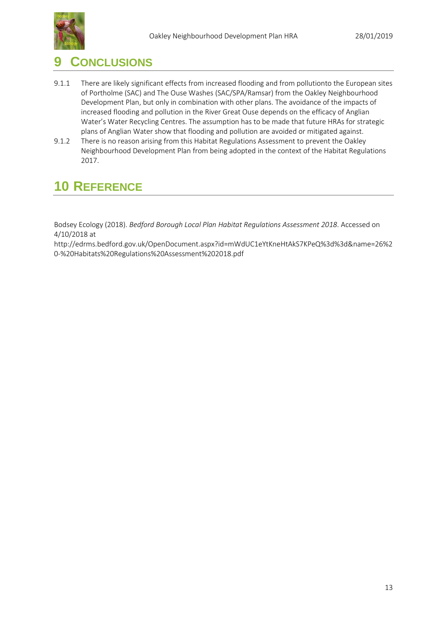

### <span id="page-12-0"></span>**9 CONCLUSIONS**

- 9.1.1 There are likely significant effects from increased flooding and from pollutionto the European sites of Portholme (SAC) and The Ouse Washes (SAC/SPA/Ramsar) from the Oakley Neighbourhood Development Plan, but only in combination with other plans. The avoidance of the impacts of increased flooding and pollution in the River Great Ouse depends on the efficacy of Anglian Water's Water Recycling Centres. The assumption has to be made that future HRAs for strategic plans of Anglian Water show that flooding and pollution are avoided or mitigated against.
- 9.1.2 There is no reason arising from this Habitat Regulations Assessment to prevent the Oakley Neighbourhood Development Plan from being adopted in the context of the Habitat Regulations 2017.

## <span id="page-12-1"></span>**10 REFERENCE**

Bodsey Ecology (2018). *Bedford Borough Local Plan Habitat Regulations Assessment 2018*. Accessed on 4/10/2018 at

http://edrms.bedford.gov.uk/OpenDocument.aspx?id=mWdUC1eYtKneHtAkS7KPeQ%3d%3d&name=26%2 0-%20Habitats%20Regulations%20Assessment%202018.pdf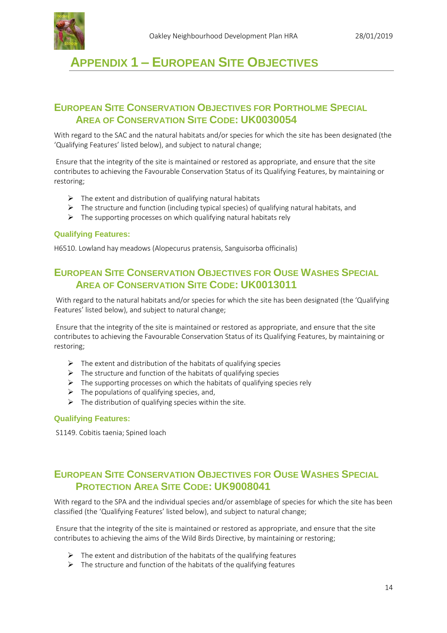

## <span id="page-13-0"></span>**APPENDIX 1 – EUROPEAN SITE OBJECTIVES**

### <span id="page-13-1"></span>**EUROPEAN SITE CONSERVATION OBJECTIVES FOR PORTHOLME SPECIAL AREA OF CONSERVATION SITE CODE: UK0030054**

With regard to the SAC and the natural habitats and/or species for which the site has been designated (the 'Qualifying Features' listed below), and subject to natural change;

Ensure that the integrity of the site is maintained or restored as appropriate, and ensure that the site contributes to achieving the Favourable Conservation Status of its Qualifying Features, by maintaining or restoring;

- $\triangleright$  The extent and distribution of qualifying natural habitats
- $\triangleright$  The structure and function (including typical species) of qualifying natural habitats, and
- $\triangleright$  The supporting processes on which qualifying natural habitats rely

#### **Qualifying Features:**

H6510. Lowland hay meadows (Alopecurus pratensis, Sanguisorba officinalis)

### <span id="page-13-2"></span>**EUROPEAN SITE CONSERVATION OBJECTIVES FOR OUSE WASHES SPECIAL AREA OF CONSERVATION SITE CODE: UK0013011**

With regard to the natural habitats and/or species for which the site has been designated (the 'Qualifying Features' listed below), and subject to natural change;

Ensure that the integrity of the site is maintained or restored as appropriate, and ensure that the site contributes to achieving the Favourable Conservation Status of its Qualifying Features, by maintaining or restoring;

- $\triangleright$  The extent and distribution of the habitats of qualifying species
- $\triangleright$  The structure and function of the habitats of qualifying species
- $\triangleright$  The supporting processes on which the habitats of qualifying species rely
- $\triangleright$  The populations of qualifying species, and,
- $\triangleright$  The distribution of qualifying species within the site.

#### **Qualifying Features:**

S1149. Cobitis taenia; Spined loach

### <span id="page-13-3"></span>**EUROPEAN SITE CONSERVATION OBJECTIVES FOR OUSE WASHES SPECIAL PROTECTION AREA SITE CODE: UK9008041**

With regard to the SPA and the individual species and/or assemblage of species for which the site has been classified (the 'Qualifying Features' listed below), and subject to natural change;

Ensure that the integrity of the site is maintained or restored as appropriate, and ensure that the site contributes to achieving the aims of the Wild Birds Directive, by maintaining or restoring;

- $\triangleright$  The extent and distribution of the habitats of the qualifying features
- $\triangleright$  The structure and function of the habitats of the qualifying features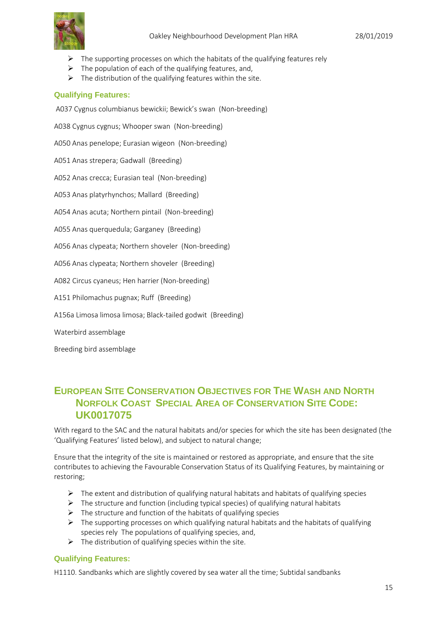- $\triangleright$  The supporting processes on which the habitats of the qualifying features rely
- $\triangleright$  The population of each of the qualifying features, and,
- $\triangleright$  The distribution of the qualifying features within the site.

#### **Qualifying Features:**

A037 Cygnus columbianus bewickii; Bewick's swan (Non-breeding)

A038 Cygnus cygnus; Whooper swan (Non-breeding)

A050 Anas penelope; Eurasian wigeon (Non-breeding)

A051 Anas strepera; Gadwall (Breeding)

A052 Anas crecca; Eurasian teal (Non-breeding)

A053 Anas platyrhynchos; Mallard (Breeding)

A054 Anas acuta; Northern pintail (Non-breeding)

A055 Anas querquedula; Garganey (Breeding)

A056 Anas clypeata; Northern shoveler (Non-breeding)

A056 Anas clypeata; Northern shoveler (Breeding)

A082 Circus cyaneus; Hen harrier (Non-breeding)

A151 Philomachus pugnax; Ruff (Breeding)

A156a Limosa limosa limosa; Black-tailed godwit (Breeding)

Waterbird assemblage

Breeding bird assemblage

### <span id="page-14-0"></span>**EUROPEAN SITE CONSERVATION OBJECTIVES FOR THE WASH AND NORTH NORFOLK COAST SPECIAL AREA OF CONSERVATION SITE CODE: UK0017075**

With regard to the SAC and the natural habitats and/or species for which the site has been designated (the 'Qualifying Features' listed below), and subject to natural change;

Ensure that the integrity of the site is maintained or restored as appropriate, and ensure that the site contributes to achieving the Favourable Conservation Status of its Qualifying Features, by maintaining or restoring;

- $\triangleright$  The extent and distribution of qualifying natural habitats and habitats of qualifying species
- $\triangleright$  The structure and function (including typical species) of qualifying natural habitats
- $\triangleright$  The structure and function of the habitats of qualifying species
- $\triangleright$  The supporting processes on which qualifying natural habitats and the habitats of qualifying species rely The populations of qualifying species, and,
- $\triangleright$  The distribution of qualifying species within the site.

#### **Qualifying Features:**

H1110. Sandbanks which are slightly covered by sea water all the time; Subtidal sandbanks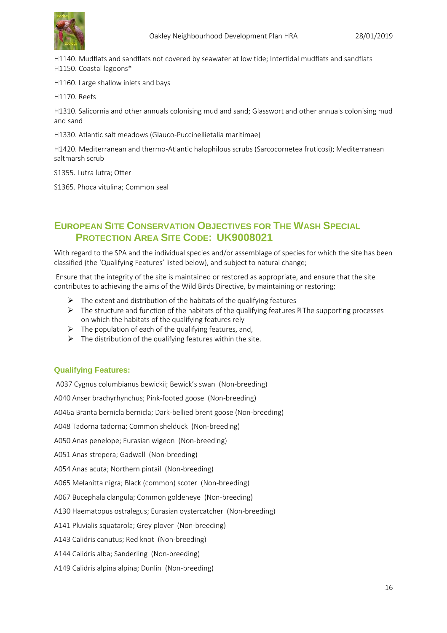

H1140. Mudflats and sandflats not covered by seawater at low tide; Intertidal mudflats and sandflats H1150. Coastal lagoons\*

H1160. Large shallow inlets and bays

H1170. Reefs

H1310. Salicornia and other annuals colonising mud and sand; Glasswort and other annuals colonising mud and sand

H1330. Atlantic salt meadows (Glauco-Puccinellietalia maritimae)

H1420. Mediterranean and thermo-Atlantic halophilous scrubs (Sarcocornetea fruticosi); Mediterranean saltmarsh scrub

S1355. Lutra lutra; Otter

S1365. Phoca vitulina; Common seal

### <span id="page-15-0"></span>**EUROPEAN SITE CONSERVATION OBJECTIVES FOR THE WASH SPECIAL PROTECTION AREA SITE CODE: UK9008021**

With regard to the SPA and the individual species and/or assemblage of species for which the site has been classified (the 'Qualifying Features' listed below), and subject to natural change;

Ensure that the integrity of the site is maintained or restored as appropriate, and ensure that the site contributes to achieving the aims of the Wild Birds Directive, by maintaining or restoring;

- $\triangleright$  The extent and distribution of the habitats of the qualifying features
- $\triangleright$  The structure and function of the habitats of the qualifying features  $\mathbb B$  The supporting processes on which the habitats of the qualifying features rely
- $\triangleright$  The population of each of the qualifying features, and,
- $\triangleright$  The distribution of the qualifying features within the site.

#### **Qualifying Features:**

A037 Cygnus columbianus bewickii; Bewick's swan (Non-breeding) A040 Anser brachyrhynchus; Pink-footed goose (Non-breeding) A046a Branta bernicla bernicla; Dark-bellied brent goose (Non-breeding) A048 Tadorna tadorna; Common shelduck (Non-breeding) A050 Anas penelope; Eurasian wigeon (Non-breeding) A051 Anas strepera; Gadwall (Non-breeding) A054 Anas acuta; Northern pintail (Non-breeding) A065 Melanitta nigra; Black (common) scoter (Non-breeding) A067 Bucephala clangula; Common goldeneye (Non-breeding) A130 Haematopus ostralegus; Eurasian oystercatcher (Non-breeding) A141 Pluvialis squatarola; Grey plover (Non-breeding) A143 Calidris canutus; Red knot (Non-breeding) A144 Calidris alba; Sanderling (Non-breeding) A149 Calidris alpina alpina; Dunlin (Non-breeding)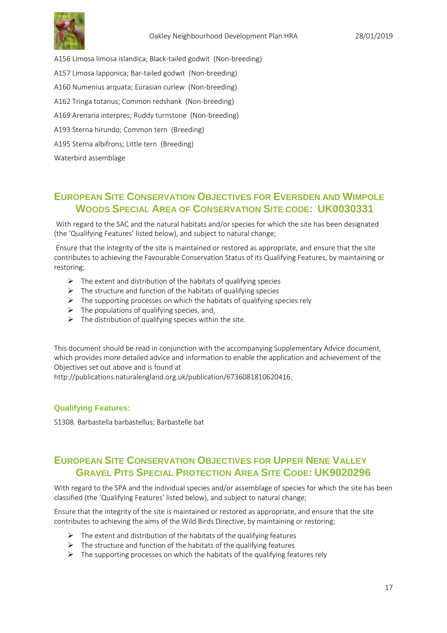

A156 Limosa limosa islandica; Black-tailed godwit (Non-breeding)

- A157 Limosa lapponica; Bar-tailed godwit (Non-breeding)
- A160 Numenius arquata; Eurasian curlew (Non-breeding)
- A162 Tringa totanus; Common redshank (Non-breeding)
- A169 Arenaria interpres; Ruddy turnstone (Non-breeding)
- A193 Sterna hirundo; Common tern (Breeding)
- A195 Sterna albifrons; Little tern (Breeding)

Waterbird assemblage

### <span id="page-16-0"></span>**EUROPEAN SITE CONSERVATION OBJECTIVES FOR EVERSDEN AND WIMPOLE WOODS SPECIAL AREA OF CONSERVATION SITE CODE: UK0030331**

With regard to the SAC and the natural habitats and/or species for which the site has been designated (the 'Qualifying Features' listed below), and subject to natural change;

Ensure that the integrity of the site is maintained or restored as appropriate, and ensure that the site contributes to achieving the Favourable Conservation Status of its Qualifying Features, by maintaining or restoring;

- $\triangleright$  The extent and distribution of the habitats of qualifying species
- $\triangleright$  The structure and function of the habitats of qualifying species
- $\triangleright$  The supporting processes on which the habitats of qualifying species rely
- $\triangleright$  The populations of qualifying species, and,
- $\triangleright$  The distribution of qualifying species within the site.

This document should be read in conjunction with the accompanying Supplementary Advice document, which provides more detailed advice and information to enable the application and achievement of the Objectives set out above and is found at

http://publications.naturalengland.org.uk/publication/6736081810620416.

#### **Qualifying Features:**

S1308. Barbastella barbastellus; Barbastelle bat

### <span id="page-16-1"></span>**EUROPEAN SITE CONSERVATION OBJECTIVES FOR UPPER NENE VALLEY GRAVEL PITS SPECIAL PROTECTION AREA SITE CODE: UK9020296**

With regard to the SPA and the individual species and/or assemblage of species for which the site has been classified (the 'Qualifying Features' listed below), and subject to natural change;

Ensure that the integrity of the site is maintained or restored as appropriate, and ensure that the site contributes to achieving the aims of the Wild Birds Directive, by maintaining or restoring;

- $\triangleright$  The extent and distribution of the habitats of the qualifying features
- $\triangleright$  The structure and function of the habitats of the qualifying features
- $\triangleright$  The supporting processes on which the habitats of the qualifying features rely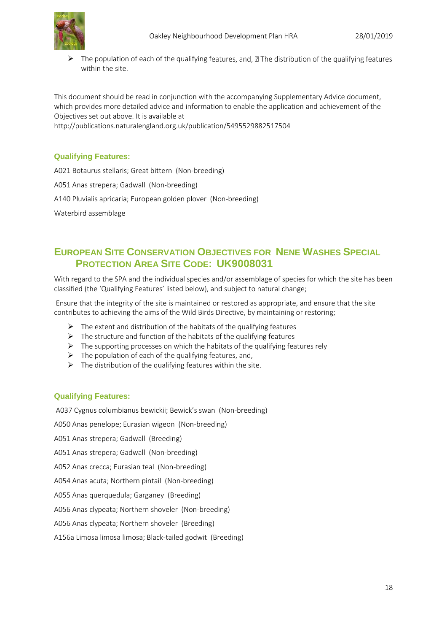$\triangleright$  The population of each of the qualifying features, and,  $\mathbb D$  The distribution of the qualifying features within the site.

This document should be read in conjunction with the accompanying Supplementary Advice document, which provides more detailed advice and information to enable the application and achievement of the Objectives set out above. It is available at

http://publications.naturalengland.org.uk/publication/5495529882517504

#### **Qualifying Features:**

A021 Botaurus stellaris; Great bittern (Non-breeding) A051 Anas strepera; Gadwall (Non-breeding) A140 Pluvialis apricaria; European golden plover (Non-breeding) Waterbird assemblage

### <span id="page-17-0"></span>**EUROPEAN SITE CONSERVATION OBJECTIVES FOR NENE WASHES SPECIAL PROTECTION AREA SITE CODE: UK9008031**

With regard to the SPA and the individual species and/or assemblage of species for which the site has been classified (the 'Qualifying Features' listed below), and subject to natural change;

Ensure that the integrity of the site is maintained or restored as appropriate, and ensure that the site contributes to achieving the aims of the Wild Birds Directive, by maintaining or restoring;

- $\triangleright$  The extent and distribution of the habitats of the qualifying features
- $\triangleright$  The structure and function of the habitats of the qualifying features
- $\triangleright$  The supporting processes on which the habitats of the qualifying features rely
- $\triangleright$  The population of each of the qualifying features, and,
- $\triangleright$  The distribution of the qualifying features within the site.

#### **Qualifying Features:**

A037 Cygnus columbianus bewickii; Bewick's swan (Non-breeding)

A050 Anas penelope; Eurasian wigeon (Non-breeding)

A051 Anas strepera; Gadwall (Breeding)

A051 Anas strepera; Gadwall (Non-breeding)

A052 Anas crecca; Eurasian teal (Non-breeding)

A054 Anas acuta; Northern pintail (Non-breeding)

A055 Anas querquedula; Garganey (Breeding)

A056 Anas clypeata; Northern shoveler (Non-breeding)

A056 Anas clypeata; Northern shoveler (Breeding)

A156a Limosa limosa limosa; Black-tailed godwit (Breeding)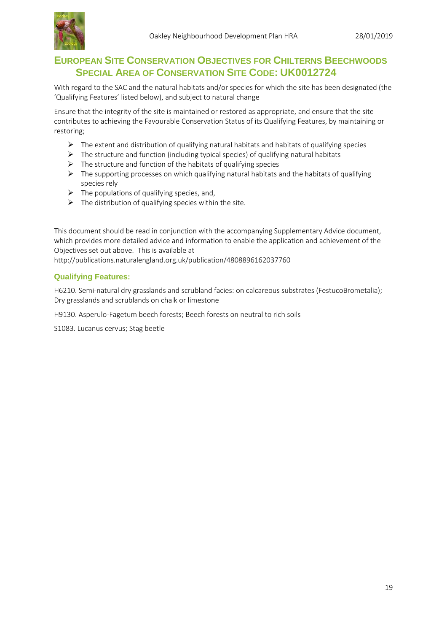

### <span id="page-18-0"></span>**EUROPEAN SITE CONSERVATION OBJECTIVES FOR CHILTERNS BEECHWOODS SPECIAL AREA OF CONSERVATION SITE CODE: UK0012724**

With regard to the SAC and the natural habitats and/or species for which the site has been designated (the 'Qualifying Features' listed below), and subject to natural change

Ensure that the integrity of the site is maintained or restored as appropriate, and ensure that the site contributes to achieving the Favourable Conservation Status of its Qualifying Features, by maintaining or restoring;

- $\triangleright$  The extent and distribution of qualifying natural habitats and habitats of qualifying species
- $\triangleright$  The structure and function (including typical species) of qualifying natural habitats
- $\triangleright$  The structure and function of the habitats of qualifying species
- $\triangleright$  The supporting processes on which qualifying natural habitats and the habitats of qualifying species rely
- $\triangleright$  The populations of qualifying species, and,
- $\triangleright$  The distribution of qualifying species within the site.

This document should be read in conjunction with the accompanying Supplementary Advice document, which provides more detailed advice and information to enable the application and achievement of the Objectives set out above. This is available at

http://publications.naturalengland.org.uk/publication/4808896162037760

#### **Qualifying Features:**

H6210. Semi-natural dry grasslands and scrubland facies: on calcareous substrates (FestucoBrometalia); Dry grasslands and scrublands on chalk or limestone

H9130. Asperulo-Fagetum beech forests; Beech forests on neutral to rich soils

S1083. Lucanus cervus; Stag beetle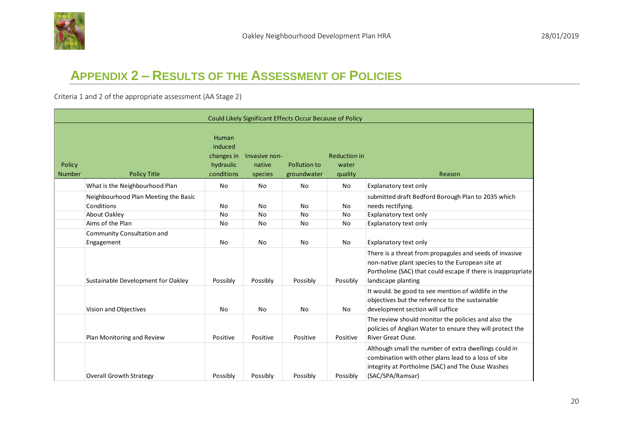

## **APPENDIX 2 – RESULTS OF THE ASSESSMENT OF POLICIES**

Criteria 1 and 2 of the appropriate assessment (AA Stage 2)

<span id="page-19-0"></span>

|                         |                                                    |                                                           |                                    | Could Likely Significant Effects Occur Because of Policy |                                         |                                                                                                                                                                                                  |
|-------------------------|----------------------------------------------------|-----------------------------------------------------------|------------------------------------|----------------------------------------------------------|-----------------------------------------|--------------------------------------------------------------------------------------------------------------------------------------------------------------------------------------------------|
| Policy<br><b>Number</b> | <b>Policy Title</b>                                | Human<br>induced<br>changes in<br>hydraulic<br>conditions | Invasive non-<br>native<br>species | Pollution to<br>groundwater                              | <b>Reduction in</b><br>water<br>quality | Reason                                                                                                                                                                                           |
|                         | What is the Neighbourhood Plan                     | No                                                        | No                                 | No                                                       | No                                      | Explanatory text only                                                                                                                                                                            |
|                         | Neighbourhood Plan Meeting the Basic<br>Conditions | No                                                        | No                                 | No                                                       | No                                      | submitted draft Bedford Borough Plan to 2035 which<br>needs rectifying.                                                                                                                          |
|                         | About Oakley                                       | No                                                        | No                                 | No                                                       | No                                      | Explanatory text only                                                                                                                                                                            |
|                         | Aims of the Plan                                   | No                                                        | No                                 | No                                                       | No                                      | Explanatory text only                                                                                                                                                                            |
|                         | Community Consultation and<br>Engagement           | No                                                        | No                                 | No                                                       | No                                      | Explanatory text only                                                                                                                                                                            |
|                         | Sustainable Development for Oakley                 | Possibly                                                  | Possibly                           | Possibly                                                 | Possibly                                | There is a threat from propagules and seeds of invasive<br>non-native plant species to the European site at<br>Portholme (SAC) that could escape if there is inappropriate<br>landscape planting |
|                         | Vision and Objectives                              | No                                                        | No                                 | No                                                       | No                                      | It would, be good to see mention of wildlife in the<br>objectives but the reference to the sustainable<br>development section will suffice                                                       |
|                         | Plan Monitoring and Review                         | Positive                                                  | Positive                           | Positive                                                 | Positive                                | The review should monitor the policies and also the<br>policies of Anglian Water to ensure they will protect the<br>River Great Ouse.                                                            |
|                         | <b>Overall Growth Strategy</b>                     | Possibly                                                  | Possibly                           | Possibly                                                 | Possibly                                | Although small the number of extra dwellings could in<br>combination with other plans lead to a loss of site<br>integrity at Portholme (SAC) and The Ouse Washes<br>(SAC/SPA/Ramsar)             |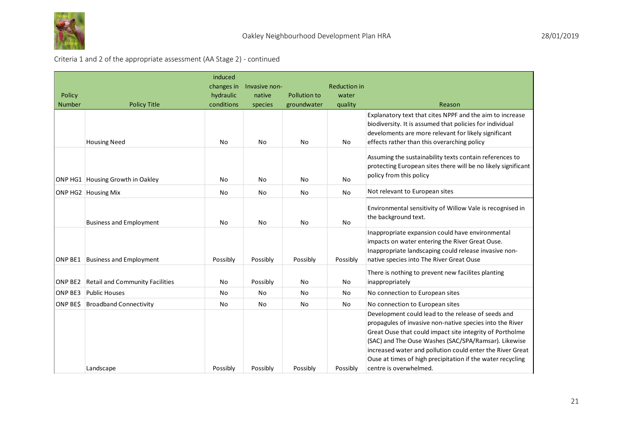

### Criteria 1 and 2 of the appropriate assessment (AA Stage 2) - continued

| Policy<br><b>Number</b> | <b>Policy Title</b>                    | induced<br>changes in<br>hydraulic<br>conditions | Invasive non-<br>native<br>species | Pollution to<br>groundwater | <b>Reduction in</b><br>water<br>quality | Reason                                                                                                                                                                                                                                                                                                                                                                                  |
|-------------------------|----------------------------------------|--------------------------------------------------|------------------------------------|-----------------------------|-----------------------------------------|-----------------------------------------------------------------------------------------------------------------------------------------------------------------------------------------------------------------------------------------------------------------------------------------------------------------------------------------------------------------------------------------|
|                         | <b>Housing Need</b>                    | No                                               | No                                 | No                          | No                                      | Explanatory text that cites NPPF and the aim to increase<br>biodiversity. It is assumed that policies for individual<br>develoments are more relevant for likely significant<br>effects rather than this overarching policy                                                                                                                                                             |
|                         | ONP HG1 Housing Growth in Oakley       | No                                               | No                                 | No                          | <b>No</b>                               | Assuming the sustainability texts contain references to<br>protecting European sites there will be no likely significant<br>policy from this policy                                                                                                                                                                                                                                     |
|                         | ONP HG2 Housing Mix                    | No                                               | No                                 | <b>No</b>                   | No                                      | Not relevant to European sites                                                                                                                                                                                                                                                                                                                                                          |
|                         | <b>Business and Employment</b>         | No                                               | No                                 | No                          | No                                      | Environmental sensitivity of Willow Vale is recognised in<br>the background text.                                                                                                                                                                                                                                                                                                       |
| ONP BE1                 | <b>Business and Employment</b>         | Possibly                                         | Possibly                           | Possibly                    | Possibly                                | Inappropriate expansion could have environmental<br>impacts on water entering the River Great Ouse.<br>Inappropriate landscaping could release invasive non-<br>native species into The River Great Ouse                                                                                                                                                                                |
| ONP BE2                 | <b>Retail and Community Facilities</b> | No                                               | Possibly                           | No                          | No                                      | There is nothing to prevent new facilites planting<br>inappropriately                                                                                                                                                                                                                                                                                                                   |
| ONP BE3                 | <b>Public Houses</b>                   | No.                                              | No                                 | <b>No</b>                   | No                                      | No connection to European sites                                                                                                                                                                                                                                                                                                                                                         |
| ONP BES                 | <b>Broadband Connectivity</b>          | No                                               | No                                 | No                          | No                                      | No connection to European sites                                                                                                                                                                                                                                                                                                                                                         |
|                         | Landscape                              | Possibly                                         | Possibly                           | Possibly                    | Possibly                                | Development could lead to the release of seeds and<br>propagules of invasive non-native species into the River<br>Great Ouse that could impact site integrity of Portholme<br>(SAC) and The Ouse Washes (SAC/SPA/Ramsar). Likewise<br>increased water and pollution could enter the River Great<br>Ouse at times of high precipitation if the water recycling<br>centre is overwhelmed. |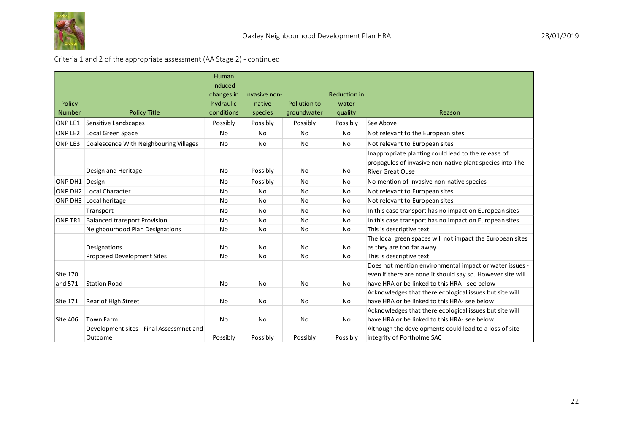

### Criteria 1 and 2 of the appropriate assessment (AA Stage 2) - continued

|                         |                                          | <b>Human</b><br>induced<br>changes in | Invasive non-     |                             | <b>Reduction in</b> |                                                                                                                                                                        |
|-------------------------|------------------------------------------|---------------------------------------|-------------------|-----------------------------|---------------------|------------------------------------------------------------------------------------------------------------------------------------------------------------------------|
| Policy<br><b>Number</b> | <b>Policy Title</b>                      | hydraulic<br>conditions               | native<br>species | Pollution to<br>groundwater | water<br>quality    | Reason                                                                                                                                                                 |
| ONP LE1                 | Sensitive Landscapes                     | Possibly                              | Possibly          | Possibly                    | Possibly            | See Above                                                                                                                                                              |
| ONP LE2                 | Local Green Space                        | No                                    | No                | No                          | No                  | Not relevant to the European sites                                                                                                                                     |
| ONP LE3                 | Coalescence With Neighbouring Villages   | No                                    | No                | No                          | No                  | Not relevant to European sites                                                                                                                                         |
|                         | Design and Heritage                      | No                                    | Possibly          | No                          | No                  | Inappropriate planting could lead to the release of<br>propagules of invasive non-native plant species into The<br><b>River Great Ouse</b>                             |
| ONP DH1 Design          |                                          | No.                                   | Possibly          | No                          | No                  | No mention of invasive non-native species                                                                                                                              |
|                         | <b>ONP DH2 Local Character</b>           | No                                    | No                | No                          | No                  | Not relevant to European sites                                                                                                                                         |
|                         | ONP DH3 Local heritage                   | No                                    | No                | No                          | No                  | Not relevant to European sites                                                                                                                                         |
|                         | Transport                                | No                                    | No                | <b>No</b>                   | <b>No</b>           | In this case transport has no impact on European sites                                                                                                                 |
| ONP TR1                 | <b>Balanced transport Provision</b>      | No                                    | No                | No                          | No                  | In this case transport has no impact on European sites                                                                                                                 |
|                         | Neighbourhood Plan Designations          | No                                    | No                | No                          | No                  | This is descriptive text                                                                                                                                               |
|                         | Designations                             | No                                    | <b>No</b>         | No                          | No                  | The local green spaces will not impact the European sites<br>as they are too far away                                                                                  |
|                         | Proposed Development Sites               | No                                    | No                | <b>No</b>                   | No                  | This is descriptive text                                                                                                                                               |
| Site 170                |                                          |                                       |                   |                             |                     | Does not mention environmental impact or water issues -<br>even if there are none it should say so. However site will<br>have HRA or be linked to this HRA - see below |
| and 571                 | <b>Station Road</b>                      | No                                    | No                | No                          | No                  |                                                                                                                                                                        |
| Site 171                | Rear of High Street                      | No                                    | No                | No                          | No                  | Acknowledges that there ecological issues but site will<br>have HRA or be linked to this HRA- see below                                                                |
| Site 406                | Town Farm                                | No                                    | No                | No                          | No                  | Acknowledges that there ecological issues but site will<br>have HRA or be linked to this HRA- see below                                                                |
|                         | Development sites - Final Assessmnet and |                                       |                   |                             |                     | Although the developments could lead to a loss of site                                                                                                                 |
|                         | Outcome                                  | Possibly                              | Possibly          | Possibly                    | Possibly            | integrity of Portholme SAC                                                                                                                                             |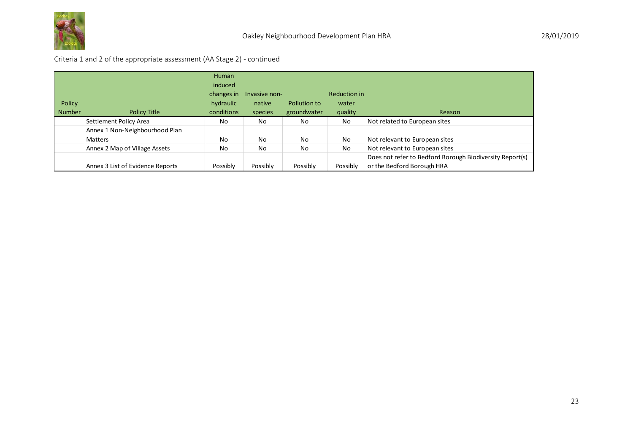

### Criteria 1 and 2 of the appropriate assessment (AA Stage 2) - continued

|               |                                  | <b>Human</b>   |               |              |              |                                                          |
|---------------|----------------------------------|----------------|---------------|--------------|--------------|----------------------------------------------------------|
|               |                                  | induced        |               |              |              |                                                          |
|               |                                  | changes in     | Invasive non- |              | Reduction in |                                                          |
| Policy        |                                  | hydraulic      | native        | Pollution to | water        |                                                          |
| <b>Number</b> | Policy Title                     | conditions     | species       | groundwater  | quality      | Reason                                                   |
|               | Settlement Policy Area           | N <sub>o</sub> | No            | <b>No</b>    | No           | Not related to European sites                            |
|               | Annex 1 Non-Neighbourhood Plan   |                |               |              |              |                                                          |
|               | <b>Matters</b>                   | No             | No            | <b>No</b>    | No           | Not relevant to European sites                           |
|               | Annex 2 Map of Village Assets    | No             | No            | <b>No</b>    | No           | Not relevant to European sites                           |
|               |                                  |                |               |              |              | Does not refer to Bedford Borough Biodiversity Report(s) |
|               | Annex 3 List of Evidence Reports | Possibly       | Possibly      | Possibly     | Possibly     | or the Bedford Borough HRA                               |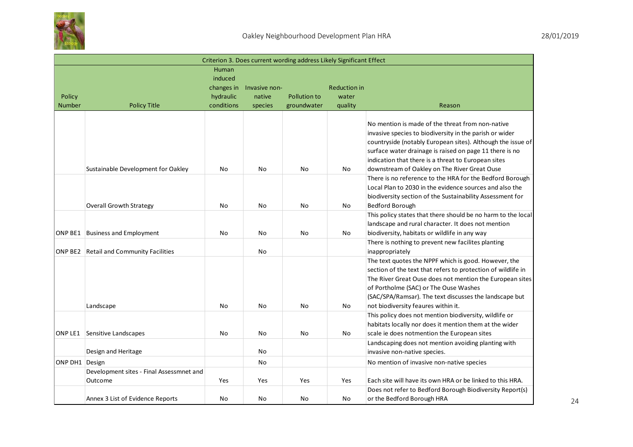

|                         |                                                                   |                                                           |                                    | Criterion 3. Does current wording address Likely Significant Effect |                                         |                                                                                                                                                                                                                                                                                                                            |
|-------------------------|-------------------------------------------------------------------|-----------------------------------------------------------|------------------------------------|---------------------------------------------------------------------|-----------------------------------------|----------------------------------------------------------------------------------------------------------------------------------------------------------------------------------------------------------------------------------------------------------------------------------------------------------------------------|
| Policy<br><b>Number</b> | <b>Policy Title</b>                                               | Human<br>induced<br>changes in<br>hydraulic<br>conditions | Invasive non-<br>native<br>species | Pollution to<br>groundwater                                         | <b>Reduction in</b><br>water<br>quality | Reason                                                                                                                                                                                                                                                                                                                     |
|                         |                                                                   |                                                           |                                    |                                                                     |                                         | No mention is made of the threat from non-native<br>invasive species to biodiversity in the parish or wider<br>countryside (notably European sites). Although the issue of<br>surface water drainage is raised on page 11 there is no<br>indication that there is a threat to European sites                               |
|                         | Sustainable Development for Oakley                                | No                                                        | <b>No</b>                          | No.                                                                 | <b>No</b>                               | downstream of Oakley on The River Great Ouse<br>There is no reference to the HRA for the Bedford Borough<br>Local Plan to 2030 in the evidence sources and also the<br>biodiversity section of the Sustainability Assessment for                                                                                           |
|                         | <b>Overall Growth Strategy</b><br>ONP BE1 Business and Employment | No<br>No                                                  | <b>No</b><br><b>No</b>             | <b>No</b><br>No                                                     | No<br>No                                | Bedford Borough<br>This policy states that there should be no harm to the local<br>landscape and rural character. It does not mention<br>biodiversity, habitats or wildlife in any way                                                                                                                                     |
|                         | ONP BE2 Retail and Community Facilities                           |                                                           | No                                 |                                                                     |                                         | There is nothing to prevent new facilites planting<br>inappropriately                                                                                                                                                                                                                                                      |
|                         | Landscape                                                         | No                                                        | No                                 | No                                                                  | No                                      | The text quotes the NPPF which is good. However, the<br>section of the text that refers to protection of wildlife in<br>The River Great Ouse does not mention the European sites<br>of Portholme (SAC) or The Ouse Washes<br>(SAC/SPA/Ramsar). The text discusses the landscape but<br>not biodiversity feaures within it. |
|                         | <b>ONP LE1</b> Sensitive Landscapes                               | No                                                        | No                                 | No                                                                  | No                                      | This policy does not mention biodiversity, wildlife or<br>habitats locally nor does it mention them at the wider<br>scale ie does notmention the European sites                                                                                                                                                            |
|                         | Design and Heritage                                               |                                                           | No                                 |                                                                     |                                         | Landscaping does not mention avoiding planting with<br>invasive non-native species.                                                                                                                                                                                                                                        |
| ONP DH1 Design          |                                                                   |                                                           | No                                 |                                                                     |                                         | No mention of invasive non-native species                                                                                                                                                                                                                                                                                  |
|                         | Development sites - Final Assessmnet and<br>Outcome               | Yes                                                       | Yes                                | Yes                                                                 | Yes                                     | Each site will have its own HRA or be linked to this HRA.                                                                                                                                                                                                                                                                  |
|                         | Annex 3 List of Evidence Reports                                  | No                                                        | No                                 | N <sub>o</sub>                                                      | No                                      | Does not refer to Bedford Borough Biodiversity Report(s)<br>or the Bedford Borough HRA                                                                                                                                                                                                                                     |